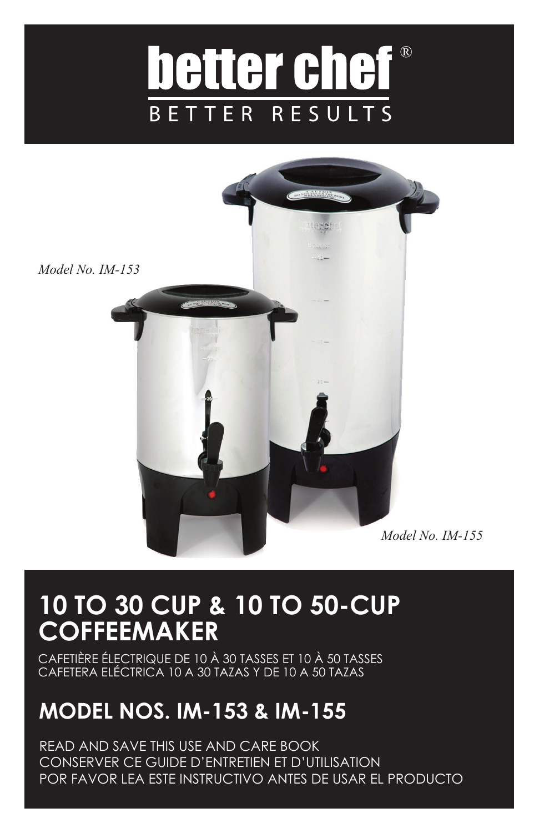## ® better chef **BETTER RESULTS**



## **10 TO 30 CUP & 10 TO 50-CUP COFFEEMAKER**

CAFETIÈRE ÉLECTRIQUE DE 10 À 30 TASSES ET 10 À 50 TASSES CAFETERA ELÉCTRICA 10 A 30 TAZAS Y DE 10 A 50 TAZAS

## **MODEL NOS. IM-153 & IM-155**

READ AND SAVE THIS USE AND CARE BOOK CONSERVER CE GUIDE D'ENTRETIEN ET D'UTILISATION POR FAVOR LEA ESTE INSTRUCTIVO ANTES DE USAR EL PRODUCTO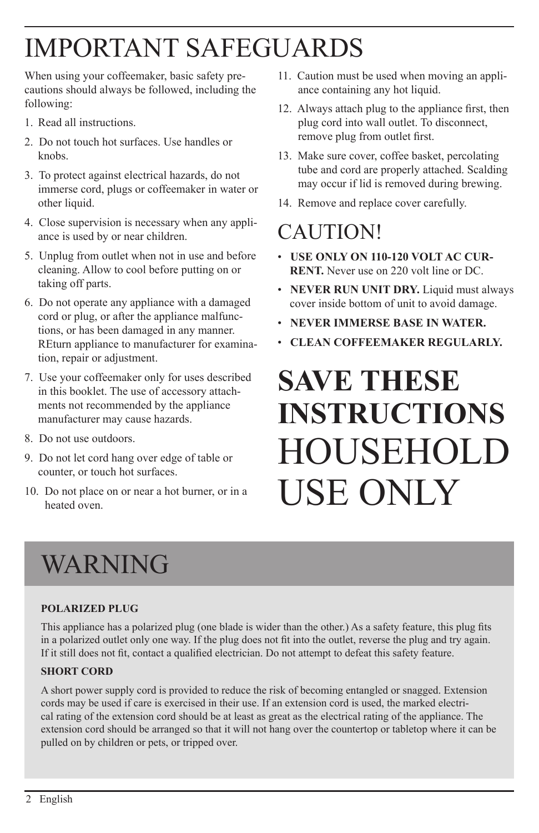# IMPORTANT SAFEGUARDS

When using your coffeemaker, basic safety precautions should always be followed, including the following:

- 1. Read all instructions.
- 2. Do not touch hot surfaces. Use handles or knobs.
- 3. To protect against electrical hazards, do not immerse cord, plugs or coffeemaker in water or other liquid.
- 4. Close supervision is necessary when any appliance is used by or near children.
- 5. Unplug from outlet when not in use and before cleaning. Allow to cool before putting on or taking off parts.
- 6. Do not operate any appliance with a damaged cord or plug, or after the appliance malfunctions, or has been damaged in any manner. REturn appliance to manufacturer for examination, repair or adjustment.
- 7. Use your coffeemaker only for uses described in this booklet. The use of accessory attachments not recommended by the appliance manufacturer may cause hazards.
- 8. Do not use outdoors.
- 9. Do not let cord hang over edge of table or counter, or touch hot surfaces.
- 10. Do not place on or near a hot burner, or in a heated oven.
- 11. Caution must be used when moving an appliance containing any hot liquid.
- 12. Always attach plug to the appliance first, then plug cord into wall outlet. To disconnect, remove plug from outlet first.
- 13. Make sure cover, coffee basket, percolating tube and cord are properly attached. Scalding may occur if lid is removed during brewing.
- 14. Remove and replace cover carefully.

### **CAUTION!**

- **USE ONLY ON 110-120 VOLT AC CUR-RENT.** Never use on 220 volt line or DC.
- **NEVER RUN UNIT DRY.** Liquid must always cover inside bottom of unit to avoid damage.
- **NEVER IMMERSE BASE IN WATER.**
- **CLEAN COFFEEMAKER REGULARLY.**

# **SAVE THESE INSTRUCTIONS** HOUSEHOLD USE ONLY

# WARNING

#### **polarized plug**

This appliance has a polarized plug (one blade is wider than the other.) As a safety feature, this plug fits in a polarized outlet only one way. If the plug does not fit into the outlet, reverse the plug and try again. If it still does not fit, contact a qualified electrician. Do not attempt to defeat this safety feature.

#### **SHORT CORD**

A short power supply cord is provided to reduce the risk of becoming entangled or snagged. Extension cords may be used if care is exercised in their use. If an extension cord is used, the marked electrical rating of the extension cord should be at least as great as the electrical rating of the appliance. The extension cord should be arranged so that it will not hang over the countertop or tabletop where it can be pulled on by children or pets, or tripped over.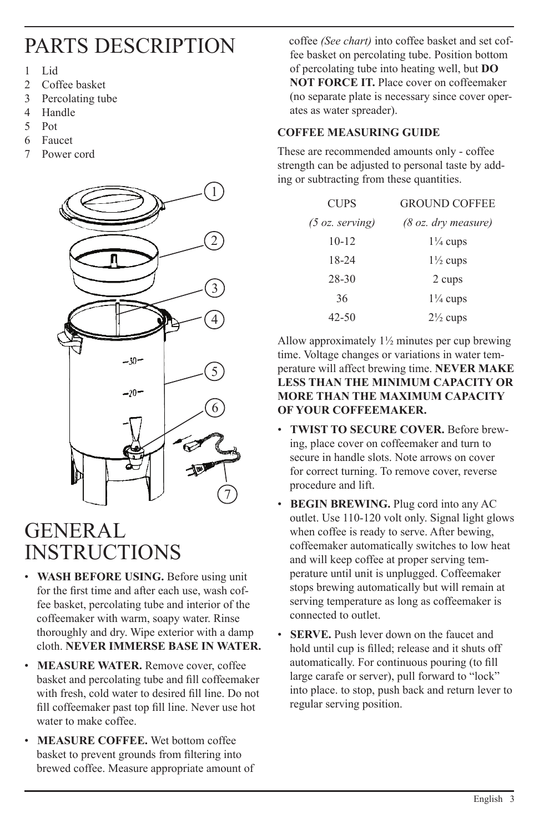### parts description

- 1 Lid
- 2 Coffee basket
- 3 Percolating tube<br>4 Handle
- **Handle**
- 5 Pot
- 6 Faucet
- 7 Power cord



### **GENERAL INSTRUCTIONS**

- **WASH BEFORE USING.** Before using unit for the first time and after each use, wash coffee basket, percolating tube and interior of the coffeemaker with warm, soapy water. Rinse thoroughly and dry. Wipe exterior with a damp cloth. **NEVER IMMERSE BASE IN WATER.**
- **MEASURE WATER.** Remove cover, coffee basket and percolating tube and fill coffeemaker with fresh, cold water to desired fill line. Do not fill coffeemaker past top fill line. Never use hot water to make coffee.
- **MEASURE COFFEE.** Wet bottom coffee basket to prevent grounds from filtering into brewed coffee. Measure appropriate amount of

 coffee *(See chart)* into coffee basket and set coffee basket on percolating tube. Position bottom of percolating tube into heating well, but **DO NOT FORCE IT.** Place cover on coffeemaker (no separate plate is necessary since cover operates as water spreader).

#### **COFFEE MEASURING GUIDE**

These are recommended amounts only - coffee strength can be adjusted to personal taste by adding or subtracting from these quantities.

| <b>CUPS</b>               | <b>GROUND COFFEE</b>          |
|---------------------------|-------------------------------|
| $(5 \text{ oz.}$ serving) | $(8 \text{ oz.}$ dry measure) |
| $10 - 12$                 | $1\frac{1}{4}$ cups           |
| 18-24                     | $1\frac{1}{2}$ cups           |
| 28-30                     | 2 cups                        |
| 36                        | $1\frac{1}{4}$ cups           |
| 42-50                     | $2\frac{1}{2}$ cups           |

Allow approximately 1½ minutes per cup brewing time. Voltage changes or variations in water temperature will affect brewing time. **NEVER MAKE LESS THAN THE MINIMUM CAPACITY OR MORE THAN THE MAXIMUM CAPACITY OF YOUR COFFEEMAKER.**

- **TWIST TO SECURE COVER.** Before brewing, place cover on coffeemaker and turn to secure in handle slots. Note arrows on cover for correct turning. To remove cover, reverse procedure and lift.
- **BEGIN BREWING.** Plug cord into any AC outlet. Use 110-120 volt only. Signal light glows when coffee is ready to serve. After bewing, coffeemaker automatically switches to low heat and will keep coffee at proper serving temperature until unit is unplugged. Coffeemaker stops brewing automatically but will remain at serving temperature as long as coffeemaker is connected to outlet.
- **SERVE.** Push lever down on the faucet and hold until cup is filled; release and it shuts off automatically. For continuous pouring (to fill large carafe or server), pull forward to "lock" into place. to stop, push back and return lever to regular serving position.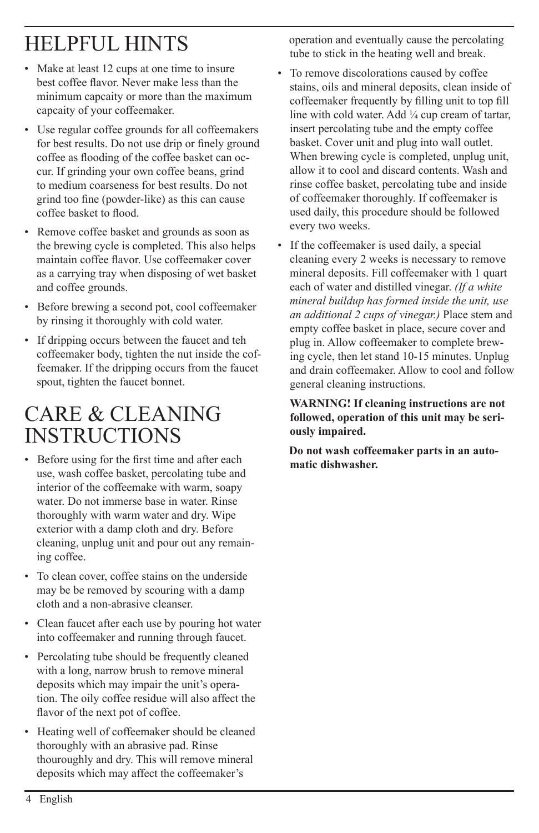## HELPFUL HINTS

- Make at least 12 cups at one time to insure best coffee flavor. Never make less than the minimum capcaity or more than the maximum capcaity of your coffeemaker.
- Use regular coffee grounds for all coffeemakers for best results. Do not use drip or finely ground coffee as flooding of the coffee basket can occur. If grinding your own coffee beans, grind to medium coarseness for best results. Do not grind too fine (powder-like) as this can cause coffee basket to flood.
- Remove coffee basket and grounds as soon as the brewing cycle is completed. This also helps maintain coffee flavor. Use coffeemaker cover as a carrying tray when disposing of wet basket and coffee grounds.
- Before brewing a second pot, cool coffeemaker by rinsing it thoroughly with cold water.
- If dripping occurs between the faucet and teh coffeemaker body, tighten the nut inside the coffeemaker. If the dripping occurs from the faucet spout, tighten the faucet bonnet.

### care & cleaning **INSTRUCTIONS**

- Before using for the first time and after each use, wash coffee basket, percolating tube and interior of the coffeemake with warm, soapy water. Do not immerse base in water. Rinse thoroughly with warm water and dry. Wipe exterior with a damp cloth and dry. Before cleaning, unplug unit and pour out any remaining coffee.
- To clean cover, coffee stains on the underside may be be removed by scouring with a damp cloth and a non-abrasive cleanser.
- Clean faucet after each use by pouring hot water into coffeemaker and running through faucet.
- Percolating tube should be frequently cleaned with a long, narrow brush to remove mineral deposits which may impair the unit's operation. The oily coffee residue will also affect the flavor of the next pot of coffee.
- Heating well of coffeemaker should be cleaned thoroughly with an abrasive pad. Rinse thouroughly and dry. This will remove mineral deposits which may affect the coffeemaker's

 operation and eventually cause the percolating tube to stick in the heating well and break.

- To remove discolorations caused by coffee stains, oils and mineral deposits, clean inside of coffeemaker frequently by filling unit to top fill line with cold water. Add  $\frac{1}{4}$  cup cream of tartar, insert percolating tube and the empty coffee basket. Cover unit and plug into wall outlet. When brewing cycle is completed, unplug unit, allow it to cool and discard contents. Wash and rinse coffee basket, percolating tube and inside of coffeemaker thoroughly. If coffeemaker is used daily, this procedure should be followed every two weeks.
- If the coffeemaker is used daily, a special cleaning every 2 weeks is necessary to remove mineral deposits. Fill coffeemaker with 1 quart each of water and distilled vinegar. *(If a white mineral buildup has formed inside the unit, use an additional 2 cups of vinegar.)* Place stem and empty coffee basket in place, secure cover and plug in. Allow coffeemaker to complete brewing cycle, then let stand 10-15 minutes. Unplug and drain coffeemaker. Allow to cool and follow general cleaning instructions.

 **WARNING! If cleaning instructions are not followed, operation of this unit may be seriously impaired.**

 **Do not wash coffeemaker parts in an automatic dishwasher.**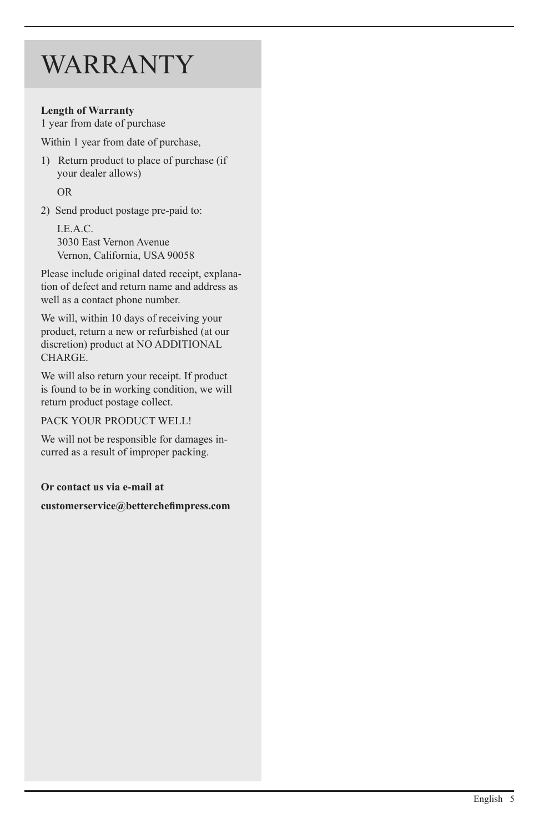## **WARRANTY**

#### **Length of Warranty**

1 year from date of purchase

Within 1 year from date of purchase,

- 1) Return product to place of purchase (if your dealer allows) OR
- 2) Send product postage pre-paid to:

 I.E.A.C. 3030 East Vernon Avenue Vernon, California, USA 90058

Please include original dated receipt, explanation of defect and return name and address as well as a contact phone number.

We will, within 10 days of receiving your product, return a new or refurbished (at our discretion) product at NO ADDITIONAL CHARGE.

We will also return your receipt. If product is found to be in working condition, we will return product postage collect.

PACK YOUR PRODUCT WELL!

We will not be responsible for damages incurred as a result of improper packing.

**Or contact us via e-mail at** 

**customerservice@betterchefimpress.com**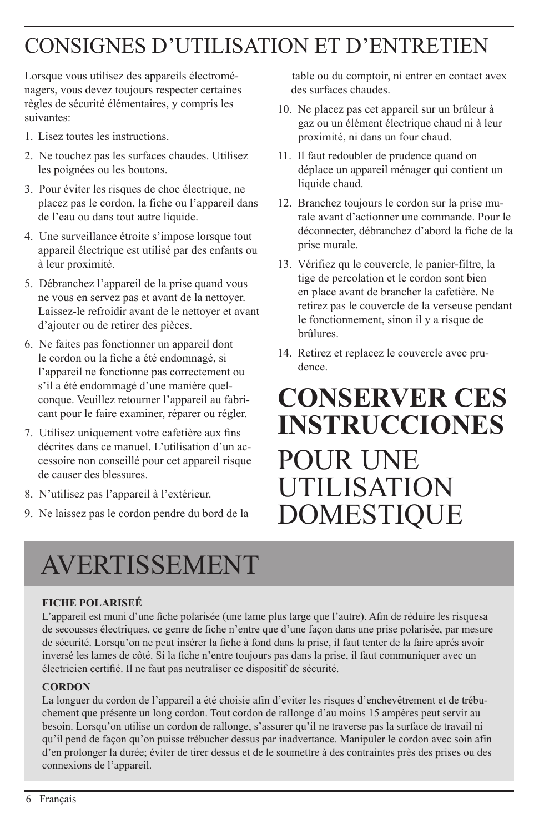## CONSIGNES D'UTILISATION ET D'ENTRETIEN

Lorsque vous utilisez des appareils électroménagers, vous devez toujours respecter certaines règles de sécurité élémentaires, y compris les suivantes:

- 1. Lisez toutes les instructions.
- 2. Ne touchez pas les surfaces chaudes. Utilisez les poignées ou les boutons.
- 3. Pour éviter les risques de choc électrique, ne placez pas le cordon, la fiche ou l'appareil dans de l'eau ou dans tout autre liquide.
- 4. Une surveillance étroite s'impose lorsque tout appareil électrique est utilisé par des enfants ou à leur proximité.
- 5. Débranchez l'appareil de la prise quand vous ne vous en servez pas et avant de la nettoyer. Laissez-le refroidir avant de le nettoyer et avant d'ajouter ou de retirer des pièces.
- 6. Ne faites pas fonctionner un appareil dont le cordon ou la fiche a été endomnagé, si l'appareil ne fonctionne pas correctement ou s'il a été endommagé d'une manière quelconque. Veuillez retourner l'appareil au fabricant pour le faire examiner, réparer ou régler.
- 7. Utilisez uniquement votre cafetière aux fins décrites dans ce manuel. L'utilisation d'un accessoire non conseillé pour cet appareil risque de causer des blessures.
- 8. N'utilisez pas l'appareil à l'extérieur.
- 9. Ne laissez pas le cordon pendre du bord de la

 table ou du comptoir, ni entrer en contact avex des surfaces chaudes.

- 10. Ne placez pas cet appareil sur un brûleur à gaz ou un élément électrique chaud ni à leur proximité, ni dans un four chaud.
- 11. Il faut redoubler de prudence quand on déplace un appareil ménager qui contient un liquide chaud.
- 12. Branchez toujours le cordon sur la prise murale avant d'actionner une commande. Pour le déconnecter, débranchez d'abord la fiche de la prise murale.
- 13. Vérifiez qu le couvercle, le panier-filtre, la tige de percolation et le cordon sont bien en place avant de brancher la cafetière. Ne retirez pas le couvercle de la verseuse pendant le fonctionnement, sinon il y a risque de brûlures.
- 14. Retirez et replacez le couvercle avec prudence.

## **CONSERVER CES instrucciones** POUR UNE UTILISATION DOMESTIQUE

# AVERTISSEMENT

#### **FICHE POLARISEÉ**

L'appareil est muni d'une fiche polarisée (une lame plus large que l'autre). Afin de réduire les risquesa de secousses électriques, ce genre de fiche n'entre que d'une façon dans une prise polarisée, par mesure de sécurité. Lorsqu'on ne peut insérer la fiche à fond dans la prise, il faut tenter de la faire aprés avoir inversé les lames de côté. Si la fiche n'entre toujours pas dans la prise, il faut communiquer avec un électricien certifié. Il ne faut pas neutraliser ce dispositif de sécurité.

#### **CORDON**

La longuer du cordon de l'appareil a été choisie afin d'eviter les risques d'enchevêtrement et de trébuchement que présente un long cordon. Tout cordon de rallonge d'au moins 15 ampères peut servir au besoin. Lorsqu'on utilise un cordon de rallonge, s'assurer qu'il ne traverse pas la surface de travail ni qu'il pend de façon qu'on puisse trébucher dessus par inadvertance. Manipuler le cordon avec soin afin d'en prolonger la durée; éviter de tirer dessus et de le soumettre à des contraintes près des prises ou des connexions de l'appareil.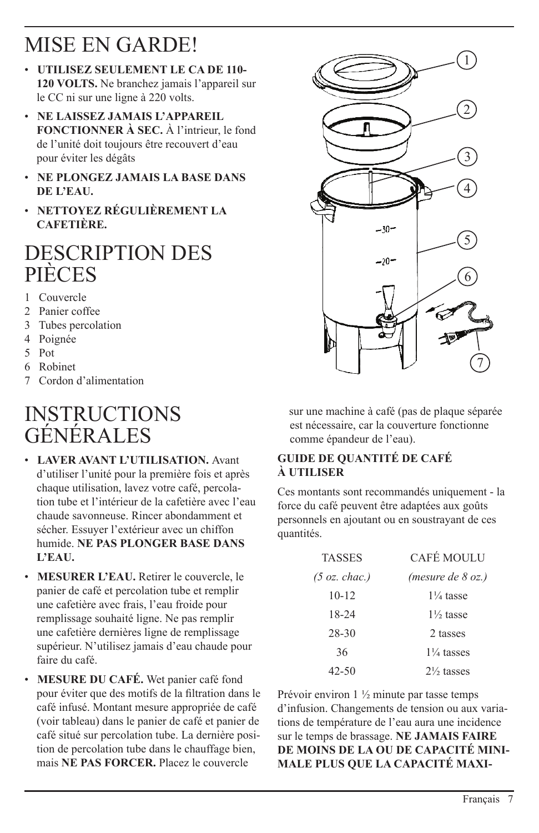### MISE EN GARDE!

- **UTILISEZ SEULEMENT LE CA DE 110- 120 VOLTS.** Ne branchez jamais l'appareil sur le CC ni sur une ligne à 220 volts.
- **NE LAISSEZ JAMAIS L'APPAREIL FONCTIONNER À SEC.** À l'intrieur, le fond de l'unité doit toujours être recouvert d'eau pour éviter les dégâts
- **NE PLONGEZ JAMAIS LA BASE DANS DE L'EAU.**
- **NETTOYEZ RÉGULIÈREMENT LA CAFETIÈRE.**

### Description des **PIÈCES**

- 1 Couvercle
- 2 Panier coffee
- 3 Tubes percolation
- 4 Poignée
- 5 Pot
- 6 Robinet
- 7 Cordon d'alimentation

### **INSTRUCTIONS** générales

- **LAVER AVANT L'UTILISATION.** Avant d'utiliser l'unité pour la première fois et après chaque utilisation, lavez votre café, percolation tube et l'intérieur de la cafetière avec l'eau chaude savonneuse. Rincer abondamment et sécher. Essuyer l'extérieur avec un chiffon humide. **Ne pas plonger BASE DANS L'EAU.**
- **Mesurer l'eau.** Retirer le couvercle, le panier de café et percolation tube et remplir une cafetière avec frais, l'eau froide pour remplissage souhaité ligne. Ne pas remplir une cafetière dernières ligne de remplissage supérieur. N'utilisez jamais d'eau chaude pour faire du café.
- **MESURE DU CAFÉ.** Wet panier café fond pour éviter que des motifs de la filtration dans le café infusé. Montant mesure appropriée de café (voir tableau) dans le panier de café et panier de café situé sur percolation tube. La dernière position de percolation tube dans le chauffage bien, mais **NE PAS forcer.** Placez le couvercle



 sur une machine à café (pas de plaque séparée est nécessaire, car la couverture fonctionne comme épandeur de l'eau).

#### **GUIDE DE QUANTITÉ DE CAFÉ À UTILISER**

Ces montants sont recommandés uniquement - la force du café peuvent être adaptées aux goûts personnels en ajoutant ou en soustrayant de ces quantités.

| <b>TASSES</b>           | CAFÉ MOULU            |
|-------------------------|-----------------------|
| $(5 \text{ oz. }char.)$ | (mesure de 8 oz.)     |
| $10 - 12$               | $1\frac{1}{4}$ tasse  |
| 18-24                   | $1\frac{1}{2}$ tasse  |
| 28-30                   | 2 tasses              |
| 36                      | $1\frac{1}{4}$ tasses |
| 42-50                   | $2\frac{1}{2}$ tasses |

Prévoir environ 1 ½ minute par tasse temps d'infusion. Changements de tension ou aux variations de température de l'eau aura une incidence sur le temps de brassage. **NE JAMAIS FAIRE DE MOINS DE LA ou de capacité minimale plus que la capacité maxi-**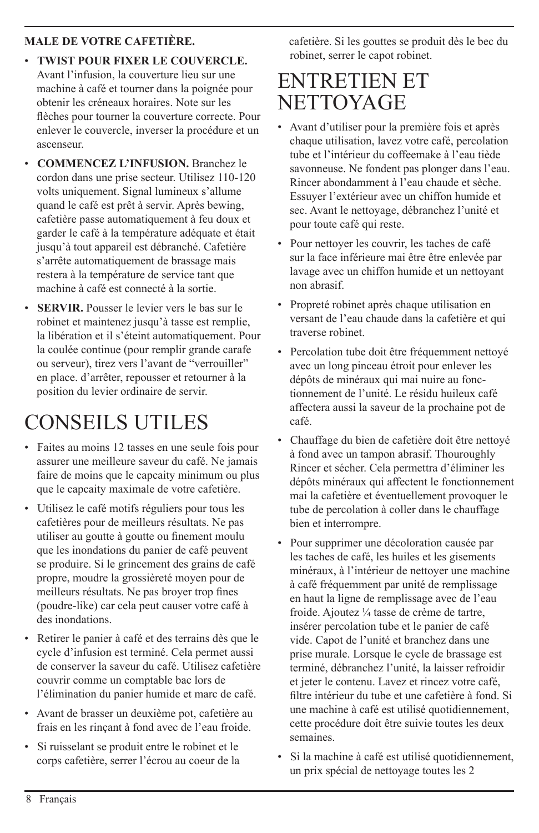#### **male de votre cafetière.**

- **TWIST pour fixer le couvercle.** Avant l'infusion, la couverture lieu sur une machine à café et tourner dans la poignée pour obtenir les créneaux horaires. Note sur les flèches pour tourner la couverture correcte. Pour enlever le couvercle, inverser la procédure et un ascenseur.
- **COMMENCEZ L'INFUSION.** Branchez le cordon dans une prise secteur. Utilisez 110-120 volts uniquement. Signal lumineux s'allume quand le café est prêt à servir. Après bewing, cafetière passe automatiquement à feu doux et garder le café à la température adéquate et était jusqu'à tout appareil est débranché. Cafetière s'arrête automatiquement de brassage mais restera à la température de service tant que machine à café est connecté à la sortie.
- **SERVIR.** Pousser le levier vers le bas sur le robinet et maintenez jusqu'à tasse est remplie. la libération et il s'éteint automatiquement. Pour la coulée continue (pour remplir grande carafe ou serveur), tirez vers l'avant de "verrouiller" en place. d'arrêter, repousser et retourner à la position du levier ordinaire de servir.

## CONSEILS UTILES

- Faites au moins 12 tasses en une seule fois pour assurer une meilleure saveur du café. Ne jamais faire de moins que le capcaity minimum ou plus que le capcaity maximale de votre cafetière.
- Utilisez le café motifs réguliers pour tous les cafetières pour de meilleurs résultats. Ne pas utiliser au goutte à goutte ou finement moulu que les inondations du panier de café peuvent se produire. Si le grincement des grains de café propre, moudre la grossièreté moyen pour de meilleurs résultats. Ne pas broyer trop fines (poudre-like) car cela peut causer votre café à des inondations.
- Retirer le panier à café et des terrains dès que le cycle d'infusion est terminé. Cela permet aussi de conserver la saveur du café. Utilisez cafetière couvrir comme un comptable bac lors de l'élimination du panier humide et marc de café.
- Avant de brasser un deuxième pot, cafetière au frais en les rinçant à fond avec de l'eau froide.
- Si ruisselant se produit entre le robinet et le corps cafetière, serrer l'écrou au coeur de la

 cafetière. Si les gouttes se produit dès le bec du robinet, serrer le capot robinet.

### ENTRETIEN ET **NETTOYAGE**

- Avant d'utiliser pour la première fois et après chaque utilisation, lavez votre café, percolation tube et l'intérieur du coffeemake à l'eau tiède savonneuse. Ne fondent pas plonger dans l'eau. Rincer abondamment à l'eau chaude et sèche. Essuyer l'extérieur avec un chiffon humide et sec. Avant le nettoyage, débranchez l'unité et pour toute café qui reste.
- Pour nettoyer les couvrir, les taches de café sur la face inférieure mai être être enlevée par lavage avec un chiffon humide et un nettoyant non abrasif.
- Propreté robinet après chaque utilisation en versant de l'eau chaude dans la cafetière et qui traverse robinet.
- Percolation tube doit être fréquemment nettoyé avec un long pinceau étroit pour enlever les dépôts de minéraux qui mai nuire au fonctionnement de l'unité. Le résidu huileux café affectera aussi la saveur de la prochaine pot de café.
- Chauffage du bien de cafetière doit être nettoyé à fond avec un tampon abrasif. Thouroughly Rincer et sécher. Cela permettra d'éliminer les dépôts minéraux qui affectent le fonctionnement mai la cafetière et éventuellement provoquer le tube de percolation à coller dans le chauffage bien et interrompre.
- Pour supprimer une décoloration causée par les taches de café, les huiles et les gisements minéraux, à l'intérieur de nettoyer une machine à café fréquemment par unité de remplissage en haut la ligne de remplissage avec de l'eau froide. Ajoutez ¼ tasse de crème de tartre, insérer percolation tube et le panier de café vide. Capot de l'unité et branchez dans une prise murale. Lorsque le cycle de brassage est terminé, débranchez l'unité, la laisser refroidir et jeter le contenu. Lavez et rincez votre café, filtre intérieur du tube et une cafetière à fond. Si une machine à café est utilisé quotidiennement, cette procédure doit être suivie toutes les deux semaines.
- Si la machine à café est utilisé quotidiennement, un prix spécial de nettoyage toutes les 2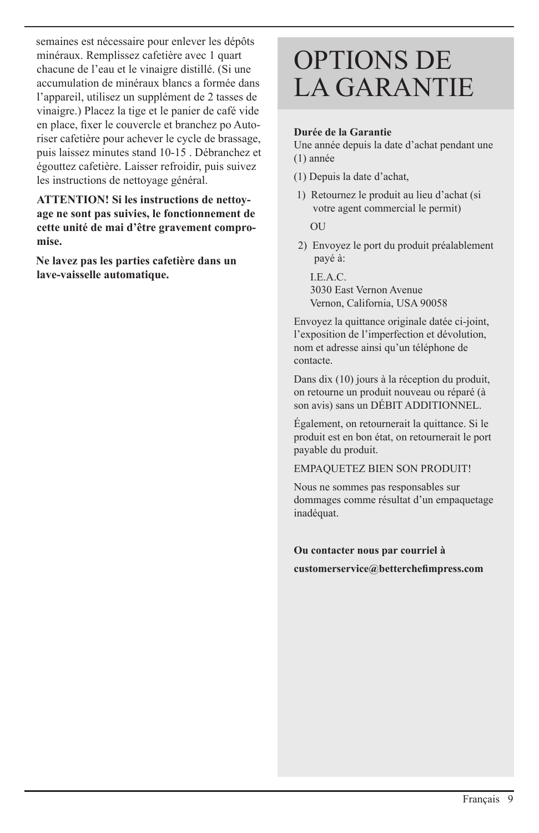semaines est nécessaire pour enlever les dépôts minéraux. Remplissez cafetière avec 1 quart chacune de l'eau et le vinaigre distillé. (Si une accumulation de minéraux blancs a formée dans l'appareil, utilisez un supplément de 2 tasses de vinaigre.) Placez la tige et le panier de café vide en place, fixer le couvercle et branchez po Autoriser cafetière pour achever le cycle de brassage, puis laissez minutes stand 10-15 . Débranchez et égouttez cafetière. Laisser refroidir, puis suivez les instructions de nettoyage général.

 **ATTENTION! Si les instructions de nettoyage ne sont pas suivies, le fonctionnement de cette unité de mai d'être gravement compromise.**

 **Ne lavez pas les parties cafetière dans un lave-vaisselle automatique.**

## OPTIONS DE LA GARANTIE

#### **Durée de la Garantie**

Une année depuis la date d'achat pendant une (1) année

- (1) Depuis la date d'achat,
- 1) Retournez le produit au lieu d'achat (si votre agent commercial le permit)

**OU** 

2) Envoyez le port du produit préalablement payé à:

 I.E.A.C. 3030 East Vernon Avenue Vernon, California, USA 90058

Envoyez la quittance originale datée ci-joint, l'exposition de l'imperfection et dévolution, nom et adresse ainsi qu'un téléphone de contacte.

Dans dix (10) jours à la réception du produit, on retourne un produit nouveau ou réparé (à son avis) sans un DÉBIT ADDITIONNEL.

Également, on retournerait la quittance. Si le produit est en bon état, on retournerait le port payable du produit.

EMPAQUETEZ BIEN SON PRODUIT!

Nous ne sommes pas responsables sur dommages comme résultat d'un empaquetage inadéquat.

#### **Ou contacter nous par courriel à**

**customerservice@betterchefimpress.com**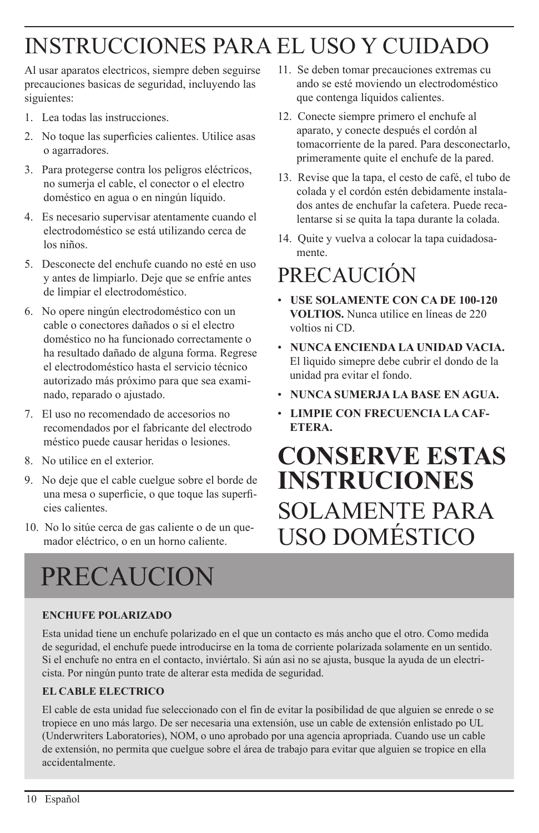## INSTRUCCIONES PARA EL USO Y CUIDADO

Al usar aparatos electricos, siempre deben seguirse precauciones basicas de seguridad, incluyendo las siguientes:

- 1. Lea todas las instrucciones.
- 2. No toque las superficies calientes. Utilice asas o agarradores.
- 3. Para protegerse contra los peligros eléctricos, no sumerja el cable, el conector o el electro doméstico en agua o en ningún líquido.
- 4. Es necesario supervisar atentamente cuando el electrodoméstico se está utilizando cerca de los niños.
- 5. Desconecte del enchufe cuando no esté en uso y antes de limpiarlo. Deje que se enfríe antes de limpiar el electrodoméstico.
- 6. No opere ningún electrodoméstico con un cable o conectores dañados o si el electro doméstico no ha funcionado correctamente o ha resultado dañado de alguna forma. Regrese el electrodoméstico hasta el servicio técnico autorizado más próximo para que sea examinado, reparado o ajustado.
- 7. El uso no recomendado de accesorios no recomendados por el fabricante del electrodo méstico puede causar heridas o lesiones.
- 8. No utilice en el exterior.
- 9. No deje que el cable cuelgue sobre el borde de una mesa o superficie, o que toque las superficies calientes.
- 10. No lo sitúe cerca de gas caliente o de un quemador eléctrico, o en un horno caliente.

# PRECAUCION

#### **ENCHUFE POLARIZADO**

Esta unidad tiene un enchufe polarizado en el que un contacto es más ancho que el otro. Como medida de seguridad, el enchufe puede introducirse en la toma de corriente polarizada solamente en un sentido. Si el enchufe no entra en el contacto, inviértalo. Si aún asi no se ajusta, busque la ayuda de un electricista. Por ningún punto trate de alterar esta medida de seguridad.

#### **EL CABLE ELECTRICO**

El cable de esta unidad fue seleccionado con el fin de evitar la posibilidad de que alguien se enrede o se tropiece en uno más largo. De ser necesaria una extensión, use un cable de extensión enlistado po UL (Underwriters Laboratories), NOM, o uno aprobado por una agencia apropriada. Cuando use un cable de extensión, no permita que cuelgue sobre el área de trabajo para evitar que alguien se tropice en ella accidentalmente.

- 11. Se deben tomar precauciones extremas cu ando se esté moviendo un electrodoméstico que contenga líquidos calientes.
- 12. Conecte siempre primero el enchufe al aparato, y conecte después el cordón al tomacorriente de la pared. Para desconectarlo, primeramente quite el enchufe de la pared.
- 13. Revise que la tapa, el cesto de café, el tubo de colada y el cordón estén debidamente instalados antes de enchufar la cafetera. Puede recalentarse si se quita la tapa durante la colada.
- 14. Quite y vuelva a colocar la tapa cuidadosamente.

### precaución

- **USE SOLAMENTE CON CA DE 100-120 VOLTIOS.** Nunca utilice en líneas de 220 voltios ni CD.
- **NUNCA ENCIENDA LA UNIDAD VACIA.**  El lìquido simepre debe cubrir el dondo de la unidad pra evitar el fondo.
- **NUNCA SUMERJA LA BASE EN AGUA.**
- **LIMPIE CON FRECUENCIA LA CAF-ETERA.**

## **conserve estas instruciones** solamente para uso domÉstico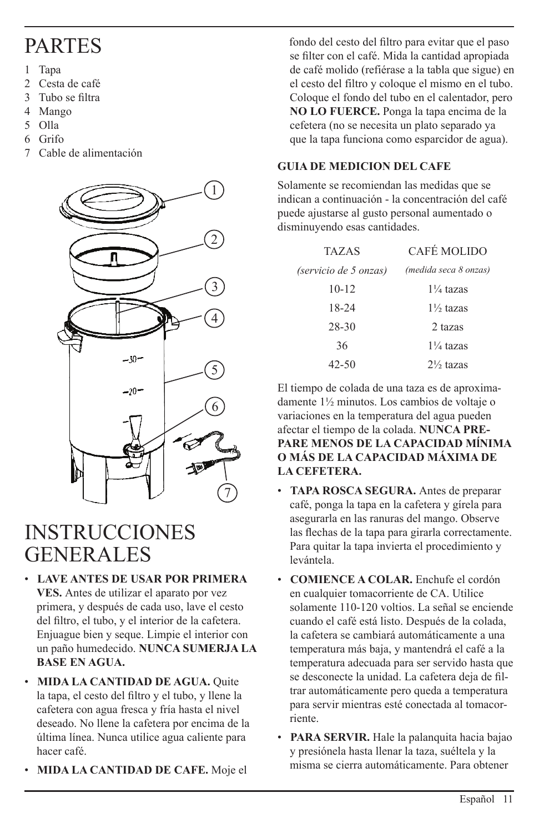### **PARTES**

- 1 Tapa
- 2 Cesta de café
- 3 Tubo se filtra
- 4 Mango
- 5 Olla
- 6 Grifo
- 7 Cable de alimentación



### INSTRUCCIONES GENERALES

- **LAVE ANTES DE USAR POR PRIMERA VES.** Antes de utilizar el aparato por vez primera, y después de cada uso, lave el cesto del filtro, el tubo, y el interior de la cafetera. Enjuague bien y seque. Limpie el interior con un paño humedecido. **NUNCA SUMERJA LA BASE EN AGUA.**
- **MIDA LA CANTIDAD DE AGUA.** Quite la tapa, el cesto del filtro y el tubo, y llene la cafetera con agua fresca y fría hasta el nivel deseado. No llene la cafetera por encima de la última línea. Nunca utilice agua caliente para hacer café.
- **MIDA LA CANTIDAD DE CAFE.** Moje el

 fondo del cesto del filtro para evitar que el paso se filter con el café. Mida la cantidad apropiada de café molido (refiérase a la tabla que sigue) en el cesto del filtro y coloque el mismo en el tubo. Coloque el fondo del tubo en el calentador, pero **NO LO FUERCE.** Ponga la tapa encima de la cefetera (no se necesita un plato separado ya que la tapa funciona como esparcidor de agua).

#### **GUIA DE MEDICION DEL CAFE**

Solamente se recomiendan las medidas que se indican a continuación - la concentración del café puede ajustarse al gusto personal aumentado o disminuyendo esas cantidades.

| <b>TAZAS</b>          | CAFÉ MOLIDO           |
|-----------------------|-----------------------|
| (servicio de 5 onzas) | (medida seca 8 onzas) |
| $10 - 12$             | $1\frac{1}{4}$ tazas  |
| 18-24                 | $1\frac{1}{2}$ tazas  |
| 28-30                 | 2 tazas               |
| 36                    | $1\frac{1}{4}$ tazas  |
| 42-50                 | $2\frac{1}{2}$ tazas  |

El tiempo de colada de una taza es de aproximadamente 1½ minutos. Los cambios de voltaje o variaciones en la temperatura del agua pueden afectar el tiempo de la colada. **NUNCA PRE-PARE MENOS DE LA CAPACIDAD MĺNIMA O MÁS DE LA CAPACIDAD MÁXIMA DE LA CEFETERA.**

- **TAPA ROSCA SEGURA.** Antes de preparar café, ponga la tapa en la cafetera y gírela para asegurarla en las ranuras del mango. Observe las flechas de la tapa para girarla correctamente. Para quitar la tapa invierta el procedimiento y levántela.
- **COMIENCE A COLAR.** Enchufe el cordón en cualquier tomacorriente de CA. Utilice solamente 110-120 voltios. La señal se enciende cuando el café está listo. Después de la colada, la cafetera se cambiará automáticamente a una temperatura más baja, y mantendrá el café a la temperatura adecuada para ser servido hasta que se desconecte la unidad. La cafetera deja de filtrar automáticamente pero queda a temperatura para servir mientras esté conectada al tomacorriente.
- **PARA SERVIR.** Hale la palanquita hacia bajao y presiónela hasta llenar la taza, suéltela y la misma se cierra automáticamente. Para obtener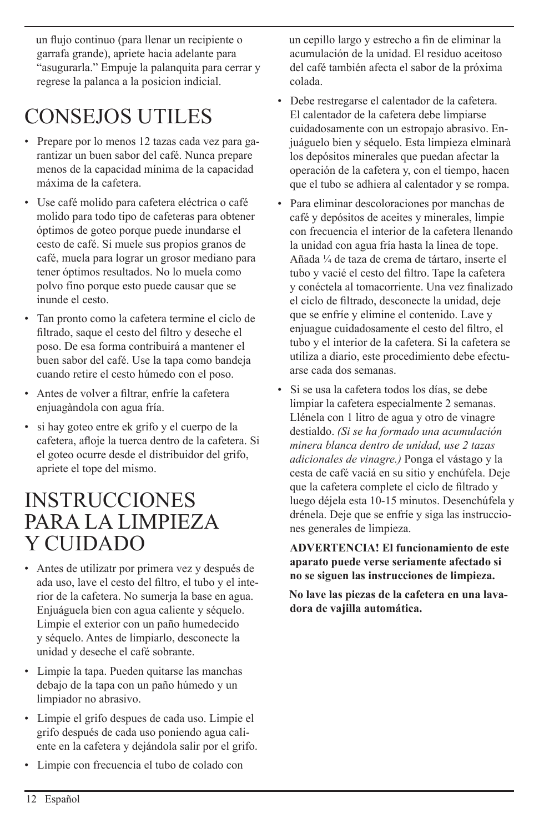un flujo continuo (para llenar un recipiente o garrafa grande), apriete hacia adelante para "asugurarla." Empuje la palanquita para cerrar y regrese la palanca a la posicion indicial.

## CONSEJOS UTILES

- Prepare por lo menos 12 tazas cada vez para garantizar un buen sabor del café. Nunca prepare menos de la capacidad mínima de la capacidad máxima de la cafetera.
- Use café molido para cafetera eléctrica o café molido para todo tipo de cafeteras para obtener óptimos de goteo porque puede inundarse el cesto de café. Si muele sus propios granos de café, muela para lograr un grosor mediano para tener óptimos resultados. No lo muela como polvo fino porque esto puede causar que se inunde el cesto.
- Tan pronto como la cafetera termine el ciclo de filtrado, saque el cesto del filtro y deseche el poso. De esa forma contribuirá a mantener el buen sabor del café. Use la tapa como bandeja cuando retire el cesto húmedo con el poso.
- Antes de volver a filtrar, enfríe la cafetera enjuagàndola con agua fría.
- si hay goteo entre ek grifo y el cuerpo de la cafetera, afloje la tuerca dentro de la cafetera. Si el goteo ocurre desde el distribuidor del grifo, apriete el tope del mismo.

### **INSTRUCCIONES** para la limpieza Y CUIDADO

- Antes de utilizatr por primera vez y después de ada uso, lave el cesto del filtro, el tubo y el interior de la cafetera. No sumerja la base en agua. Enjuáguela bien con agua caliente y séquelo. Limpie el exterior con un paño humedecido y séquelo. Antes de limpiarlo, desconecte la unidad y deseche el café sobrante.
- Limpie la tapa. Pueden quitarse las manchas debajo de la tapa con un paño húmedo y un limpiador no abrasivo.
- Limpie el grifo despues de cada uso. Limpie el grifo después de cada uso poniendo agua caliente en la cafetera y dejándola salir por el grifo.
- Limpie con frecuencia el tubo de colado con

 un cepillo largo y estrecho a fin de eliminar la acumulación de la unidad. El residuo aceitoso del café también afecta el sabor de la próxima colada.

- Debe restregarse el calentador de la cafetera. El calentador de la cafetera debe limpiarse cuidadosamente con un estropajo abrasivo. Enjuáguelo bien y séquelo. Esta limpieza elminarà los depósitos minerales que puedan afectar la operación de la cafetera y, con el tiempo, hacen que el tubo se adhiera al calentador y se rompa.
- Para eliminar descoloraciones por manchas de café y depósitos de aceites y minerales, limpie con frecuencia el interior de la cafetera llenando la unidad con agua fría hasta la linea de tope. Añada ¼ de taza de crema de tártaro, inserte el tubo y vacié el cesto del filtro. Tape la cafetera y conéctela al tomacorriente. Una vez finalizado el ciclo de filtrado, desconecte la unidad, deje que se enfríe y elimine el contenido. Lave y enjuague cuidadosamente el cesto del filtro, el tubo y el interior de la cafetera. Si la cafetera se utiliza a diario, este procedimiento debe efectuarse cada dos semanas.
- Si se usa la cafetera todos los días, se debe limpiar la cafetera especialmente 2 semanas. Llénela con 1 litro de agua y otro de vinagre destialdo. *(Si se ha formado una acumulación minera blanca dentro de unidad, use 2 tazas adicionales de vinagre.)* Ponga el vástago y la cesta de café vaciá en su sitio y enchúfela. Deje que la cafetera complete el ciclo de filtrado y luego déjela esta 10-15 minutos. Desenchúfela y drénela. Deje que se enfríe y siga las instrucciones generales de limpieza.

 **ADVERTENCIA! El funcionamiento de este aparato puede verse seriamente afectado si no se siguen las instrucciones de limpieza.**

 **No lave las piezas de la cafetera en una lavadora de vajilla automática.**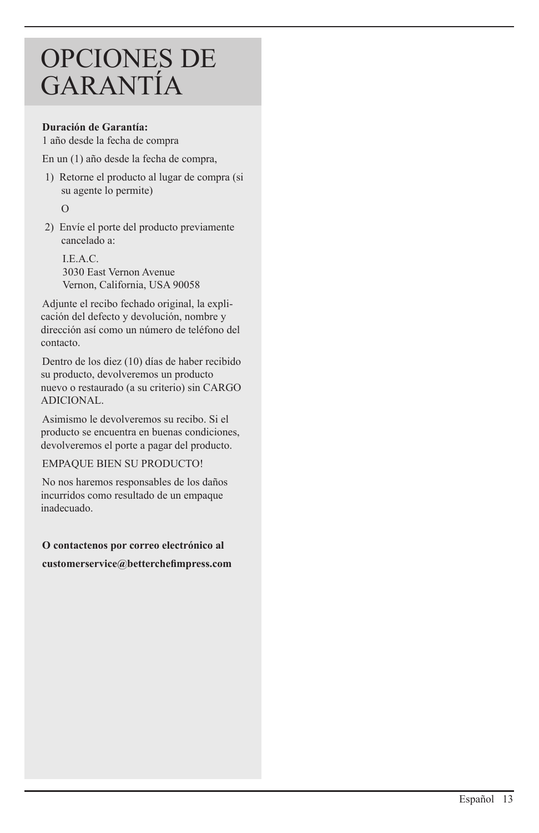## OPCIONES DE GARANTÍA

#### **Duración de Garantía:**

1 año desde la fecha de compra

En un (1) año desde la fecha de compra,

1) Retorne el producto al lugar de compra (si su agente lo permite)

O

2) Envíe el porte del producto previamente cancelado a:

I.E.A.C. 3030 East Vernon Avenue Vernon, California, USA 90058

Adjunte el recibo fechado original, la explicación del defecto y devolución, nombre y dirección así como un número de teléfono del contacto.

Dentro de los diez (10) días de haber recibido su producto, devolveremos un producto nuevo o restaurado (a su criterio) sin CARGO ADICIONAL.

Asimismo le devolveremos su recibo. Si el producto se encuentra en buenas condiciones, devolveremos el porte a pagar del producto.

#### EMPAQUE BIEN SU PRODUCTO!

No nos haremos responsables de los daños incurridos como resultado de un empaque inadecuado.

**O contactenos por correo electrónico al customerservice@betterchefimpress.com**